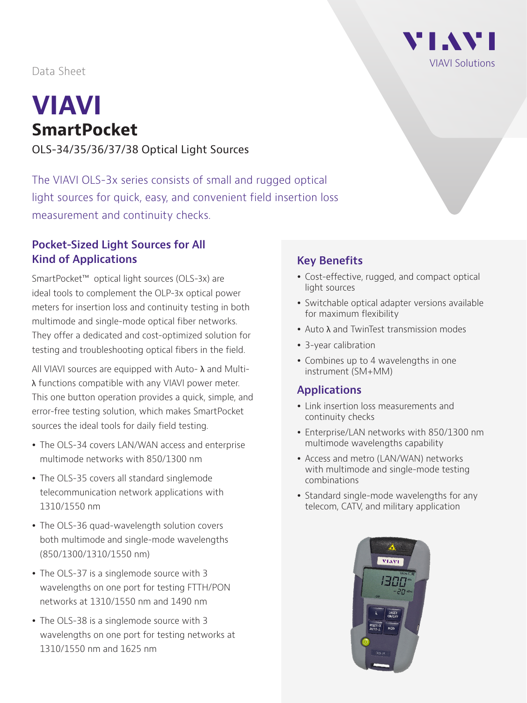VI AVI VIAVI Solutions

Data Sheet

# **VIAVI SmartPocket**

OLS-34/35/36/37/38 Optical Light Sources

The VIAVI OLS-3x series consists of small and rugged optical light sources for quick, easy, and convenient field insertion loss measurement and continuity checks.

#### **Pocket-Sized Light Sources for All Kind of Applications**

SmartPocket™ optical light sources (OLS-3x) are ideal tools to complement the OLP-3x optical power meters for insertion loss and continuity testing in both multimode and single-mode optical fiber networks. They offer a dedicated and cost-optimized solution for testing and troubleshooting optical fibers in the field.

All VIAVI sources are equipped with Auto- λ and Multiλ functions compatible with any VIAVI power meter. This one button operation provides a quick, simple, and error-free testing solution, which makes SmartPocket sources the ideal tools for daily field testing.

- The OLS-34 covers LAN/WAN access and enterprise multimode networks with 850/1300 nm
- The OLS-35 covers all standard singlemode telecommunication network applications with 1310/1550 nm
- The OLS-36 quad-wavelength solution covers both multimode and single-mode wavelengths (850/1300/1310/1550 nm)
- The OLS-37 is a singlemode source with 3 wavelengths on one port for testing FTTH/PON networks at 1310/1550 nm and 1490 nm
- The OLS-38 is a singlemode source with 3 wavelengths on one port for testing networks at 1310/1550 nm and 1625 nm

# **Key Benefits**

- Cost-effective, rugged, and compact optical light sources
- Switchable optical adapter versions available for maximum flexibility
- Auto  $\lambda$  and TwinTest transmission modes
- 3-year calibration
- Combines up to 4 wavelengths in one instrument (SM+MM)

#### **Applications**

- Link insertion loss measurements and continuity checks
- Enterprise/LAN networks with 850/1300 nm multimode wavelengths capability
- Access and metro (LAN/WAN) networks with multimode and single-mode testing combinations
- Standard single-mode wavelengths for any telecom, CATV, and military application

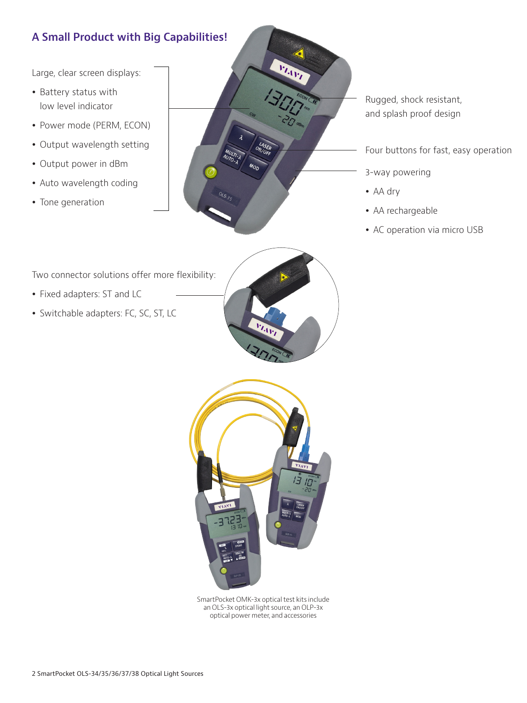## **A Small Product with Big Capabilities!**

Large, clear screen displays:

- Battery status with low level indicator
- Power mode (PERM, ECON)
- Output wavelength setting
- Output power in dBm
- Auto wavelength coding
- Tone generation



Rugged, shock resistant, and splash proof design

Four buttons for fast, easy operation

- 3-way powering
- AA drv
- AA rechargeable
- AC operation via micro USB

Two connector solutions offer more flexibility:

- Fixed adapters: ST and LC
- Switchable adapters: FC, SC, ST, LC





SmartPocket OMK-3x optical test kits include an OLS-3x optical light source, an OLP-3x optical power meter, and accessories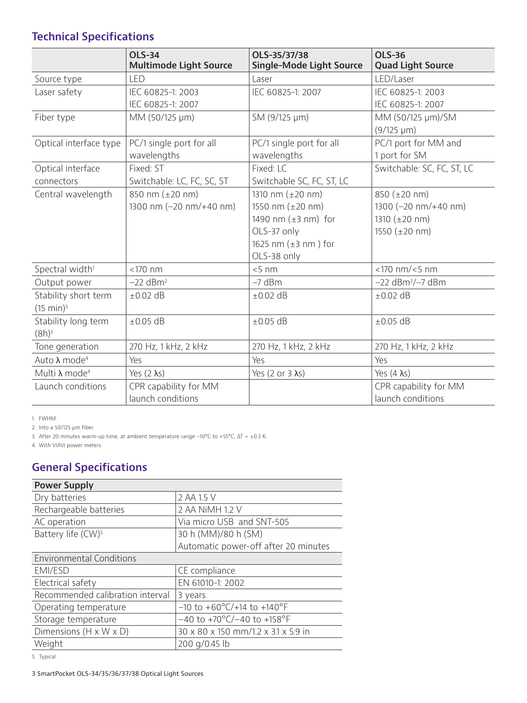## **Technical Specifications**

|                                              | <b>OLS-34</b><br><b>Multimode Light Source</b> | OLS-35/37/38<br><b>Single-Mode Light Source</b>                                                                                                      | <b>OLS-36</b><br><b>Quad Light Source</b>                                                                                       |
|----------------------------------------------|------------------------------------------------|------------------------------------------------------------------------------------------------------------------------------------------------------|---------------------------------------------------------------------------------------------------------------------------------|
| Source type                                  | <b>LED</b>                                     | Laser                                                                                                                                                | LED/Laser                                                                                                                       |
| Laser safety                                 | IEC 60825-1: 2003<br>IEC 60825-1: 2007         | IEC 60825-1: 2007                                                                                                                                    | IEC 60825-1: 2003<br>IEC 60825-1: 2007                                                                                          |
| Fiber type                                   | MM (50/125 µm)                                 | SM (9/125 µm)                                                                                                                                        | MM (50/125 µm)/SM<br>$(9/125 \mu m)$                                                                                            |
| Optical interface type                       | PC/1 single port for all<br>wavelengths        | PC/1 single port for all<br>wavelengths                                                                                                              | PC/1 port for MM and<br>1 port for SM                                                                                           |
| Optical interface<br>connectors              | Fixed: ST<br>Switchable: LC, FC, SC, ST        | Fixed: LC<br>Switchable SC, FC, ST, LC                                                                                                               | Switchable: SC, FC, ST, LC                                                                                                      |
| Central wavelength                           | 850 nm (±20 nm)<br>1300 nm (-20 nm/+40 nm)     | 1310 nm $(\pm 20 \text{ nm})$<br>1550 nm $(\pm 20 \text{ nm})$<br>1490 nm $(\pm 3$ nm) for<br>OLS-37 only<br>1625 nm $(\pm 3$ nm) for<br>OLS-38 only | 850 $(\pm 20 \text{ nm})$<br>1300 $(-20 \text{ nm}/+40 \text{ nm})$<br>1310 $(\pm 20 \text{ nm})$<br>1550 $(\pm 20 \text{ nm})$ |
| Spectral width <sup>1</sup>                  | $<$ 170 nm                                     | < 5 nm                                                                                                                                               | $<$ 170 nm/ $<$ 5 nm                                                                                                            |
| Output power                                 | $-22$ dBm <sup>2</sup>                         | $-7$ dBm                                                                                                                                             | $-22$ dBm <sup>2</sup> / $-7$ dBm                                                                                               |
| Stability short term<br>$(15 \text{ min})^3$ | $\pm 0.02$ dB                                  | $\pm 0.02$ dB                                                                                                                                        | $\pm 0.02$ dB                                                                                                                   |
| Stability long term<br>$(8h)^3$              | $\pm 0.05$ dB                                  | $\pm 0.05$ dB                                                                                                                                        | $\pm 0.05$ dB                                                                                                                   |
| Tone generation                              | 270 Hz, 1 kHz, 2 kHz                           | 270 Hz, 1 kHz, 2 kHz                                                                                                                                 | 270 Hz, 1 kHz, 2 kHz                                                                                                            |
| Auto $λ$ mode <sup>4</sup>                   | Yes                                            | Yes                                                                                                                                                  | Yes                                                                                                                             |
| Multi λ mode <sup>4</sup>                    | Yes $(2 \lambda s)$                            | Yes (2 or 3 $\lambda$ s)                                                                                                                             | Yes $(4 \lambda s)$                                                                                                             |
| Launch conditions                            | CPR capability for MM<br>launch conditions     |                                                                                                                                                      | CPR capability for MM<br>launch conditions                                                                                      |

1. FWHM.

2. Into a 50/125 μm fiber.

3. After 20 minutes warm-up time, at ambient temperature range –10°C to +55°C, ΔT = ±0.3 K.

4. With VIAVI power meters.

## **General Specifications**

| <b>Power Supply</b>                |                                                  |  |  |  |
|------------------------------------|--------------------------------------------------|--|--|--|
| Dry batteries                      | 2 AA 1.5 V                                       |  |  |  |
| Rechargeable batteries             | 2 AA NiMH 1.2 V                                  |  |  |  |
| AC operation                       | Via micro USB and SNT-505                        |  |  |  |
| Battery life (CW) <sup>5</sup>     | 30 h (MM)/80 h (SM)                              |  |  |  |
|                                    | Automatic power-off after 20 minutes             |  |  |  |
| <b>Environmental Conditions</b>    |                                                  |  |  |  |
| EMI/ESD                            | CE compliance                                    |  |  |  |
| Electrical safety                  | EN 61010-1: 2002                                 |  |  |  |
| Recommended calibration interval   | 3 years                                          |  |  |  |
| Operating temperature              | $-10$ to $+60^{\circ}$ C/+14 to $+140^{\circ}$ F |  |  |  |
| Storage temperature                | $-40$ to +70°C/-40 to +158°F                     |  |  |  |
| Dimensions $(H \times W \times D)$ | 30 x 80 x 150 mm/1.2 x 3.1 x 5.9 in              |  |  |  |
| Weight                             | 200 g/0.45 lb                                    |  |  |  |

5. Typical.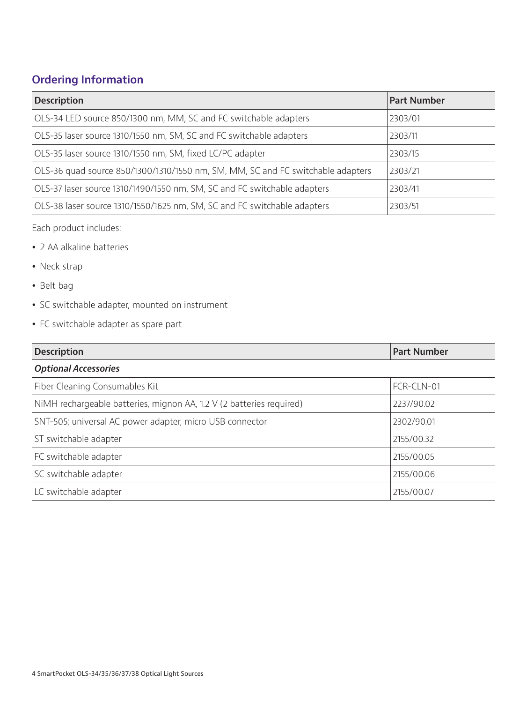## **Ordering Information**

| <b>Description</b>                                                              | <b>Part Number</b> |
|---------------------------------------------------------------------------------|--------------------|
| OLS-34 LED source 850/1300 nm, MM, SC and FC switchable adapters                | 2303/01            |
| OLS-35 laser source 1310/1550 nm, SM, SC and FC switchable adapters             | 2303/11            |
| OLS-35 laser source 1310/1550 nm, SM, fixed LC/PC adapter                       | 2303/15            |
| OLS-36 quad source 850/1300/1310/1550 nm, SM, MM, SC and FC switchable adapters | 2303/21            |
| OLS-37 laser source 1310/1490/1550 nm, SM, SC and FC switchable adapters        | 2303/41            |
| OLS-38 laser source 1310/1550/1625 nm, SM, SC and FC switchable adapters        | 2303/51            |

Each product includes:

- 2 AA alkaline batteries
- Neck strap
- Belt bag
- SC switchable adapter, mounted on instrument
- FC switchable adapter as spare part

| <b>Description</b>                                                   | <b>Part Number</b> |  |  |  |
|----------------------------------------------------------------------|--------------------|--|--|--|
| <b>Optional Accessories</b>                                          |                    |  |  |  |
| Fiber Cleaning Consumables Kit                                       | FCR-CLN-01         |  |  |  |
| NiMH rechargeable batteries, mignon AA, 1.2 V (2 batteries required) | 2237/90.02         |  |  |  |
| SNT-505; universal AC power adapter, micro USB connector             | 2302/90.01         |  |  |  |
| ST switchable adapter                                                | 2155/00.32         |  |  |  |
| FC switchable adapter                                                | 2155/00.05         |  |  |  |
| SC switchable adapter                                                | 2155/00.06         |  |  |  |
| LC switchable adapter                                                | 2155/00.07         |  |  |  |